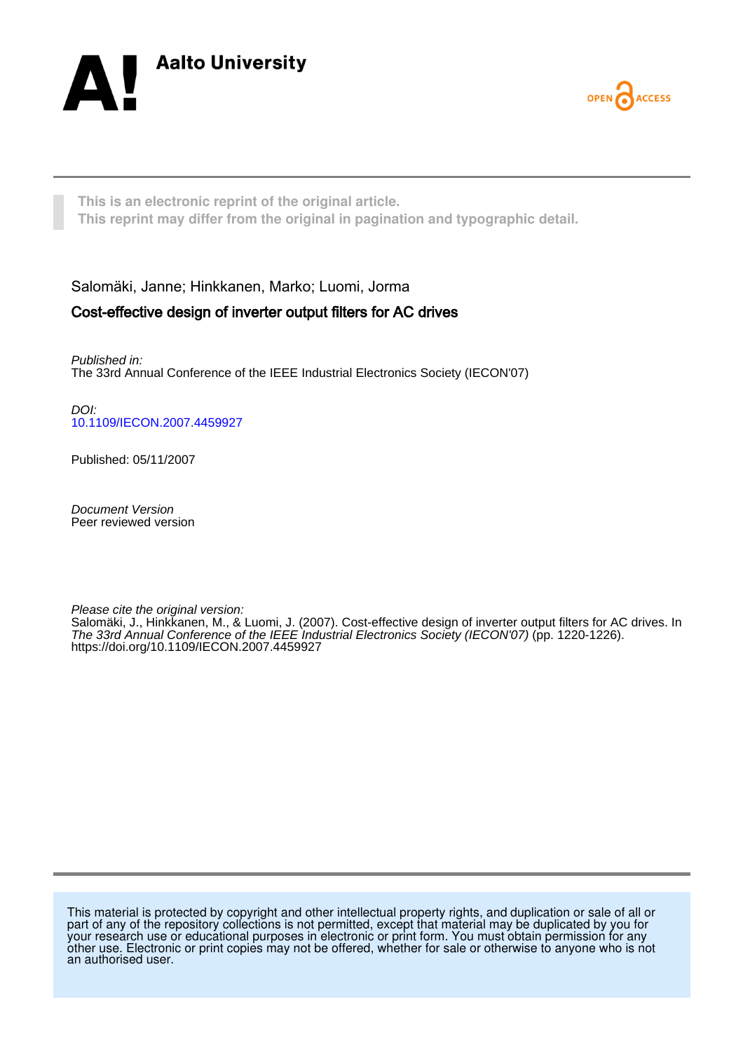



**This is an electronic reprint of the original article. This reprint may differ from the original in pagination and typographic detail.**

Salomäki, Janne; Hinkkanen, Marko; Luomi, Jorma

# Cost-effective design of inverter output filters for AC drives

Published in: The 33rd Annual Conference of the IEEE Industrial Electronics Society (IECON'07)

DOI: [10.1109/IECON.2007.4459927](https://doi.org/10.1109/IECON.2007.4459927)

Published: 05/11/2007

Document Version Peer reviewed version

Please cite the original version:

Salomäki, J., Hinkkanen, M., & Luomi, J. (2007). Cost-effective design of inverter output filters for AC drives. In The 33rd Annual Conference of the IEEE Industrial Electronics Society (IECON'07) (pp. 1220-1226). <https://doi.org/10.1109/IECON.2007.4459927>

This material is protected by copyright and other intellectual property rights, and duplication or sale of all or part of any of the repository collections is not permitted, except that material may be duplicated by you for your research use or educational purposes in electronic or print form. You must obtain permission for any other use. Electronic or print copies may not be offered, whether for sale or otherwise to anyone who is not an authorised user.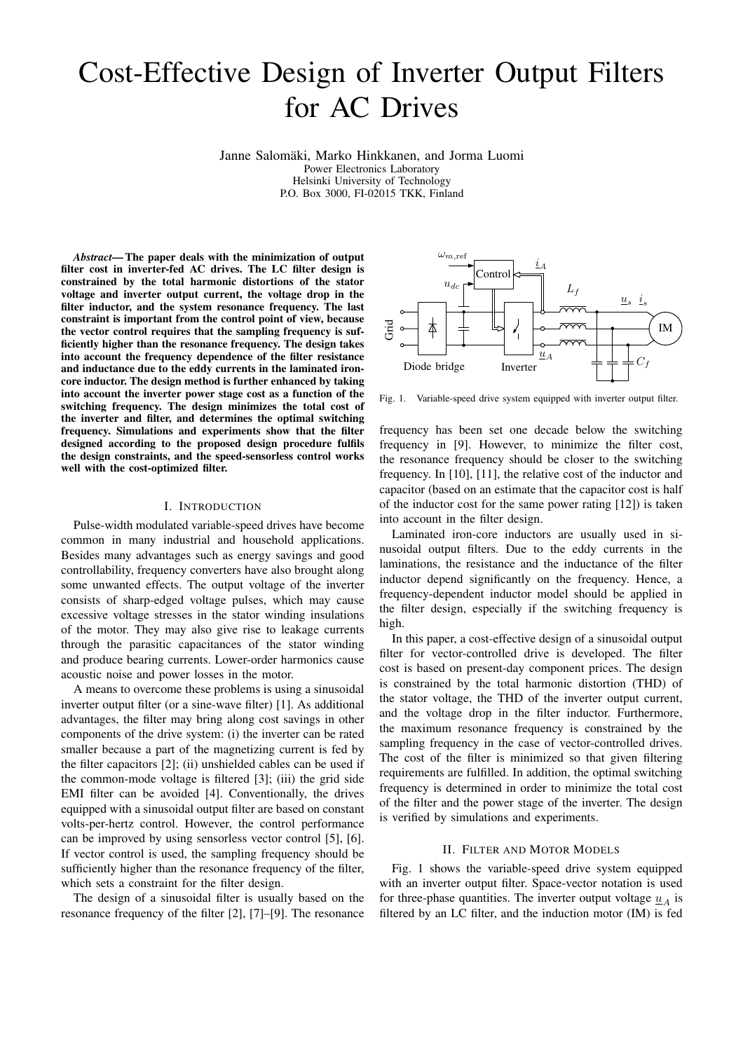# Cost-Effective Design of Inverter Output Filters for AC Drives

PSfrag replacements

Janne Salomäki, Marko Hinkkanen, and Jorma Luomi Power Electronics Laboratory Helsinki University of Technology P.O. Box 3000, FI-02015 TKK, Finland

n

*Abstract*— The paper deals with the minimization of output filter cost in inverter-fed AC drives. The LC filter design is constrained by the total harmonic distortions of the stator voltage and inverter output current, the voltage drop in the filter inductor, and the system resonance frequency. The last constraint is important from the control point of view, because the vector control requires that the sampling frequency is sufficiently higher than the resonance frequency. The design takes  $L_c$ into account the frequency dependence of the filter resistance  $R_c$ and inductance due to the eddy currents in the laminated iron- $C_c$ core inductor. The design method is further enhanced by taking  $_{c m}$ into account the inverter power stage cost as a function of the switching frequency. The design minimizes the total cost of the inverter and filter, and determines the optimal switching frequency. Simulations and experiments show that the filter designed according to the proposed design procedure fulfils the design constraints, and the speed-sensorless control works well with the cost-optimized filter.

#### I. INTRODUCTION

Pulse-width modulated variable-speed drives have become common in many industrial and household applications. Besides many advantages such as energy savings and good controllability, frequency converters have also brought along some unwanted effects. The output voltage of the inverter consists of sharp-edged voltage pulses, which may cause excessive voltage stresses in the stator winding insulations of the motor. They may also give rise to leakage currents through the parasitic capacitances of the stator winding and produce bearing currents. Lower-order harmonics cause acoustic noise and power losses in the motor.

A means to overcome these problems is using a sinusoidal inverter output filter (or a sine-wave filter) [1]. As additional advantages, the filter may bring along cost savings in other components of the drive system: (i) the inverter can be rated smaller because a part of the magnetizing current is fed by the filter capacitors [2]; (ii) unshielded cables can be used if the common-mode voltage is filtered [3]; (iii) the grid side EMI filter can be avoided [4]. Conventionally, the drives equipped with a sinusoidal output filter are based on constant volts-per-hertz control. However, the control performance can be improved by using sensorless vector control [5], [6]. If vector control is used, the sampling frequency should be sufficiently higher than the resonance frequency of the filter, which sets a constraint for the filter design.

The design of a sinusoidal filter is usually based on the resonance frequency of the filter [2], [7]–[9]. The resonance



Fig. 1. Variable-speed drive system equipped with inverter output filter.

frequency has been set one decade below the switching frequency in [9]. However, to minimize the filter cost, the resonance frequency should be closer to the switching frequency. In [10], [11], the relative cost of the inductor and capacitor (based on an estimate that the capacitor cost is half of the inductor cost for the same power rating [12]) is taken into account in the filter design.

Laminated iron-core inductors are usually used in sinusoidal output filters. Due to the eddy currents in the laminations, the resistance and the inductance of the filter inductor depend significantly on the frequency. Hence, a frequency-dependent inductor model should be applied in the filter design, especially if the switching frequency is high.

In this paper, a cost-effective design of a sinusoidal output filter for vector-controlled drive is developed. The filter cost is based on present-day component prices. The design is constrained by the total harmonic distortion (THD) of the stator voltage, the THD of the inverter output current, and the voltage drop in the filter inductor. Furthermore, the maximum resonance frequency is constrained by the sampling frequency in the case of vector-controlled drives. The cost of the filter is minimized so that given filtering requirements are fulfilled. In addition, the optimal switching frequency is determined in order to minimize the total cost of the filter and the power stage of the inverter. The design is verified by simulations and experiments.

#### II. FILTER AND MOTOR MODELS

Fig. 1 shows the variable-speed drive system equipped with an inverter output filter. Space-vector notation is used for three-phase quantities. The inverter output voltage  $u_A$  is filtered by an LC filter, and the induction motor (IM) is fed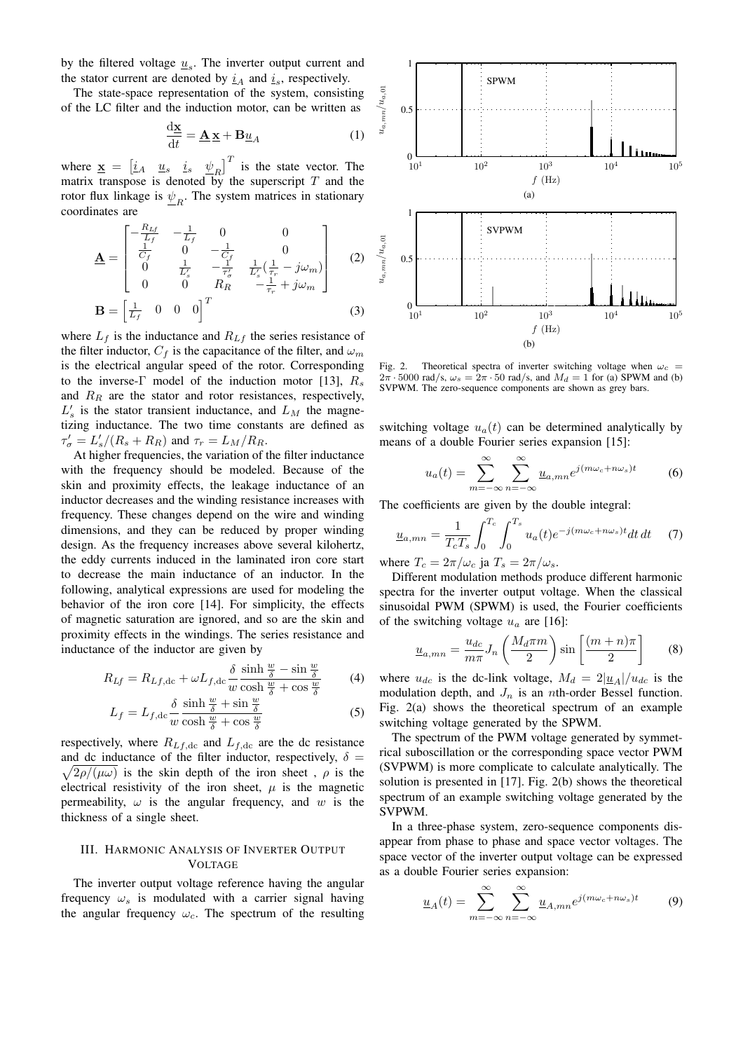by the filtered voltage  $\underline{u}_s$ . The inverter output current and the stator current are denoted by  $\underline{i}_A$  and  $\underline{i}_s$ , respectively.

The state-space representation of the system, consisting of the LC filter and the induction motor, can be written as

$$
\frac{\mathrm{d}\mathbf{x}}{\mathrm{d}t} = \mathbf{\underline{A}}\,\mathbf{x} + \mathbf{B}\,\underline{u}_A \tag{1}
$$

where  $\underline{\mathbf{x}} = \begin{bmatrix} \underline{i}_A & \underline{u}_s & \underline{i}_s & \underline{\psi}_R \end{bmatrix}^T$  is the state vector. The matrix transpose is denoted by the superscript  $T$  and the rotor flux linkage is  $\underline{\psi}_R$ . The system matrices **Refisiationary** ents (a) coordinates are

$$
\mathbf{\underline{A}} = \begin{bmatrix} -\frac{R_{Lf}}{L_f} & -\frac{1}{L_f} & 0 & 0\\ \frac{1}{C_f} & 0 & -\frac{1}{C_f} & 0\\ 0 & \frac{1}{L'_s} & -\frac{1}{\tau'_s} & \frac{1}{L'_s}(\frac{1}{\tau_r} - j\omega_m)\\ 0 & 0 & R_R & -\frac{1}{\tau_r} + j\omega_m \end{bmatrix}
$$
(2)  

$$
\mathbf{B} = \begin{bmatrix} \frac{1}{L_f} & 0 & 0 & 0 \end{bmatrix}^T
$$
(3)

where  $L_f$  is the inductance and  $R_{Lf}$  the series resistance of the filter inductor,  $C_f$  is the capacitance of the filter, and  $\omega_m$ is the electrical angular speed of the rotor. Corresponding to the inverse-Γ model of the induction motor [13],  $R_s$ and  $R_R$  are the stator and rotor resistances, respectively,  $L'_{s}$  is the stator transient inductance, and  $L_{M}$  the magnetizing inductance. The two time constants are defined as  $\tau'_{\sigma} = L'_{s}/(R_{s} + R_{R})$  and  $\tau_{r} = L_{M}/R_{R}$ .

At higher frequencies, the variation of the filter inductance with the frequency should be modeled. Because of the skin and proximity effects, the leakage inductance of an inductor decreases and the winding resistance increases with frequency. These changes depend on the wire and winding dimensions, and they can be reduced by proper winding design. As the frequency increases above several kilohertz, the eddy currents induced in the laminated iron core start to decrease the main inductance of an inductor. In the following, analytical expressions are used for modeling the behavior of the iron core [14]. For simplicity, the effects of magnetic saturation are ignored, and so are the skin and proximity effects in the windings. The series resistance and inductance of the inductor are given by

$$
R_{Lf} = R_{Lf, dc} + \omega L_{f, dc} \frac{\delta}{w} \frac{\sinh \frac{w}{\delta} - \sin \frac{w}{\delta}}{\cosh \frac{w}{\delta} + \cos \frac{w}{\delta}}
$$
(4)

$$
L_f = L_{f,dc} \frac{\delta}{w} \frac{\sinh \frac{w}{\delta} + \sin \frac{w}{\delta}}{\cosh \frac{w}{\delta} + \cos \frac{w}{\delta}}
$$
(5)

respectively, where  $R_{Lf,dc}$  and  $L_{f,dc}$  are the dc resistance and dc inductance of the filter inductor, respectively,  $\delta =$  $\sqrt{\frac{2\rho}{(\mu\omega)}}$  is the skin depth of the iron sheet,  $\rho$  is the electrical resistivity of the iron sheet,  $\mu$  is the magnetic permeability,  $\omega$  is the angular frequency, and w is the thickness of a single sheet.

# III. HARMONIC ANALYSIS OF INVERTER OUTPUT **VOLTAGE**

The inverter output voltage reference having the angular frequency  $\omega_s$  is modulated with a carrier signal having the angular frequency  $\omega_c$ . The spectrum of the resulting



Fig. 2. Theoretical spectra of inverter switching voltage when  $\omega_c$  =  $2\pi \cdot 5000$  rad/s,  $\omega_s = 2\pi \cdot 50$  rad/s, and  $M_d = 1$  for (a) SPWM and (b) SVPWM. The zero-sequence components are shown as grey bars.

switching voltage  $u_a(t)$  can be determined analytically by means of a double Fourier series expansion [15]:

$$
u_a(t) = \sum_{m = -\infty}^{\infty} \sum_{n = -\infty}^{\infty} \underline{u}_{a,mn} e^{j(m\omega_c + n\omega_s)t}
$$
 (6)

The coefficients are given by the double integral:

$$
\underline{u}_{a,mn} = \frac{1}{T_c T_s} \int_0^{T_c} \int_0^{T_s} u_a(t) e^{-j(m\omega_c + n\omega_s)t} dt dt \quad (7)
$$

where  $T_c = 2\pi/\omega_c$  ja  $T_s = 2\pi/\omega_s$ .

Different modulation methods produce different harmonic spectra for the inverter output voltage. When the classical sinusoidal PWM (SPWM) is used, the Fourier coefficients of the switching voltage  $u_a$  are [16]:

$$
\underline{u}_{a,mn} = \frac{u_{dc}}{m\pi} J_n\left(\frac{M_d\pi m}{2}\right) \sin\left[\frac{(m+n)\pi}{2}\right] \tag{8}
$$

where  $u_{dc}$  is the dc-link voltage,  $M_d = 2|\underline{u}_A|/u_{dc}$  is the modulation depth, and  $J_n$  is an *n*th-order Bessel function. Fig. 2(a) shows the theoretical spectrum of an example switching voltage generated by the SPWM.

The spectrum of the PWM voltage generated by symmetrical suboscillation or the corresponding space vector PWM (SVPWM) is more complicate to calculate analytically. The solution is presented in [17]. Fig. 2(b) shows the theoretical spectrum of an example switching voltage generated by the SVPWM.

In a three-phase system, zero-sequence components disappear from phase to phase and space vector voltages. The space vector of the inverter output voltage can be expressed as a double Fourier series expansion:

$$
\underline{u}_A(t) = \sum_{m = -\infty}^{\infty} \sum_{n = -\infty}^{\infty} \underline{u}_{A,mn} e^{j(m\omega_c + n\omega_s)t}
$$
(9)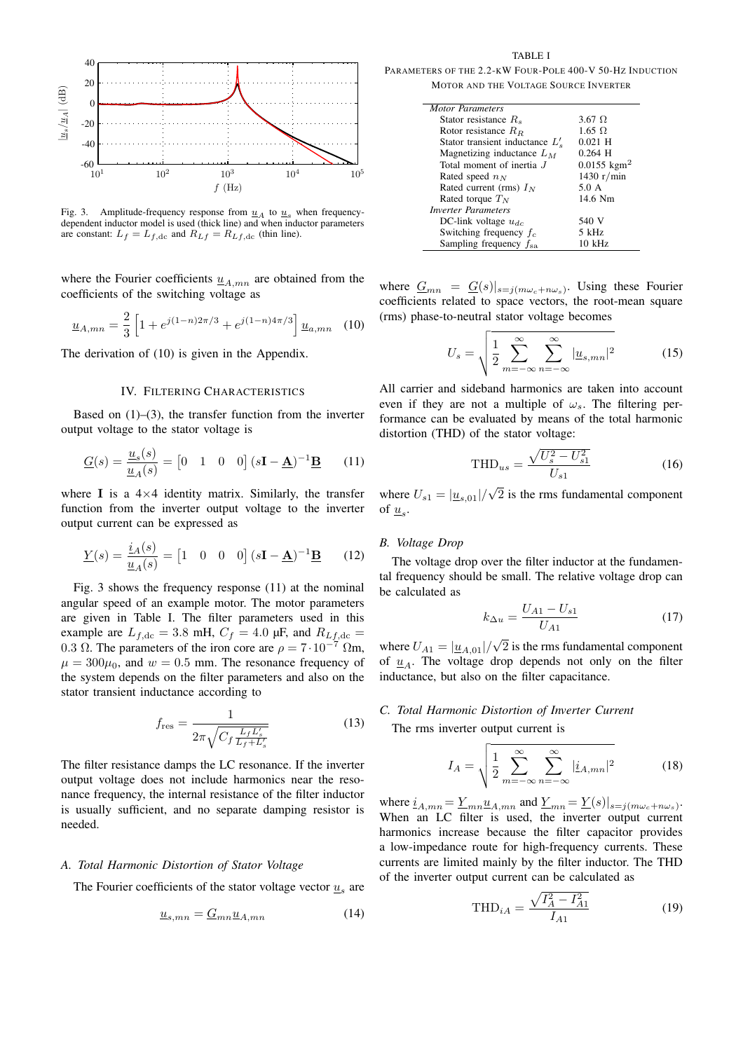

Fig. 3. Amplitude-frequency response from  $\underline{u}_A$  to  $\underline{u}_s$  when frequencydependent inductor model is used (thick line) and when inductor parameters are constant:  $L_f = L_{f,dc}$  and  $R_{Lf} = R_{Lf,dc}$  (thin line).

where the Fourier coefficients  $\underline{u}_{A,mn}$  are obtained from the coefficients of the switching voltage as

$$
\underline{u}_{A,mn} = \frac{2}{3} \left[ 1 + e^{j(1-n)2\pi/3} + e^{j(1-n)4\pi/3} \right] \underline{u}_{a,mn} \quad (10)
$$

The derivation of (10) is given in the Appendix.

# IV. FILTERING CHARACTERISTICS

Based on  $(1)$ – $(3)$ , the transfer function from the inverter output voltage to the stator voltage is

$$
\underline{G}(s) = \frac{u_s(s)}{u_A(s)} = \begin{bmatrix} 0 & 1 & 0 & 0 \end{bmatrix} (s\mathbf{I} - \underline{\mathbf{A}})^{-1} \underline{\mathbf{B}} \qquad (11)
$$

where I is a  $4\times4$  identity matrix. Similarly, the transfer function from the inverter output voltage to the inverter output current can be expressed as

$$
\underline{Y}(s) = \frac{i_A(s)}{u_A(s)} = \begin{bmatrix} 1 & 0 & 0 & 0 \end{bmatrix} (s\mathbf{I} - \underline{\mathbf{A}})^{-1} \underline{\mathbf{B}} \qquad (12)
$$

Fig. 3 shows the frequency response (11) at the nominal angular speed of an example motor. The motor parameters are given in Table I. The filter parameters used in this example are  $L_{f,\text{dc}} = 3.8 \text{ mH}$ ,  $C_f = 4.0 \text{ µF}$ , and  $R_{Lf,\text{dc}} =$ 0.3  $\Omega$ . The parameters of the iron core are  $\rho = 7 \cdot 10^{-7} \Omega$ m,  $\mu = 300\mu_0$ , and  $w = 0.5$  mm. The resonance frequency of the system depends on the filter parameters and also on the stator transient inductance according to

$$
f_{\rm res} = \frac{1}{2\pi\sqrt{C_f \frac{L_f L_s'}{L_f + L_s'}}}
$$
(13)

The filter resistance damps the LC resonance. If the inverter output voltage does not include harmonics near the resonance frequency, the internal resistance of the filter inductor is usually sufficient, and no separate damping resistor is needed.

#### *A. Total Harmonic Distortion of Stator Voltage*

The Fourier coefficients of the stator voltage vector  $\underline{u}_s$  are

$$
\underline{u}_{s,mn} = \underline{G}_{mn}\underline{u}_{A,mn} \tag{14}
$$

PARAMETERS OF THE 2.2-KW FOUR-POLE 400-V 50-HZ INDUCTION MOTOR AND THE VOLTAGE SOURCE INVERTER

| <b>Motor Parameters</b>              |                                |
|--------------------------------------|--------------------------------|
| Stator resistance $R_s$              | $3.67 \Omega$                  |
| Rotor resistance $R_B$               | $1.65 \Omega$                  |
| Stator transient inductance $L'_{s}$ | $0.021$ H                      |
| Magnetizing inductance $L_M$         | $0.264$ H                      |
| Total moment of inertia J            | $0.0155 \text{ kg} \text{m}^2$ |
| Rated speed $n_N$                    | 1430 $r/min$                   |
| Rated current (rms) $I_N$            | 5.0 A                          |
| Rated torque $T_N$                   | 14.6 Nm                        |
| <b>Inverter Parameters</b>           |                                |
| DC-link voltage $u_{dc}$             | 540 V                          |
| Switching frequency $f_c$            | $5$ kHz                        |
| Sampling frequency $f_{sa}$          | 10 kHz                         |

where  $G_{mn} = G(s)|_{s=j(m\omega_c+n\omega_s)}$ . Using these Fourier coefficients related to space vectors, the root-mean square (rms) phase-to-neutral stator voltage becomes

$$
U_s = \sqrt{\frac{1}{2} \sum_{m=-\infty}^{\infty} \sum_{n=-\infty}^{\infty} |\underline{u}_{s,mn}|^2}
$$
 (15)

All carrier and sideband harmonics are taken into account even if they are not a multiple of  $\omega_s$ . The filtering performance can be evaluated by means of the total harmonic distortion (THD) of the stator voltage:

$$
THD_{us} = \frac{\sqrt{U_s^2 - U_{s1}^2}}{U_{s1}} \tag{16}
$$

where  $U_{s1} = |\underline{u}_{s,01}|/\sqrt{2}$  is the rms fundamental component of  $\underline{u}_s$ .

# *B. Voltage Drop*

The voltage drop over the filter inductor at the fundamental frequency should be small. The relative voltage drop can be calculated as

$$
k_{\Delta u} = \frac{U_{A1} - U_{s1}}{U_{A1}} \tag{17}
$$

where  $U_{A1} = |\underline{u}_{A,01}| / \sqrt{2}$  is the rms fundamental component of  $u_A$ . The voltage drop depends not only on the filter inductance, but also on the filter capacitance.

#### *C. Total Harmonic Distortion of Inverter Current*

The rms inverter output current is

$$
I_A = \sqrt{\frac{1}{2} \sum_{m=-\infty}^{\infty} \sum_{n=-\infty}^{\infty} |\dot{\mathbf{z}}_{A,mn}|^2}
$$
 (18)

where  $\underline{i}_{A,mn} = \underline{Y}_{mn} \underline{u}_{A,mn}$  and  $\underline{Y}_{mn} = \underline{Y}(s)|_{s=j(m\omega_c+n\omega_s)}$ . When an LC filter is used, the inverter output current harmonics increase because the filter capacitor provides a low-impedance route for high-frequency currents. These currents are limited mainly by the filter inductor. The THD of the inverter output current can be calculated as

$$
THD_{iA} = \frac{\sqrt{I_A^2 - I_{A1}^2}}{I_{A1}}
$$
 (19)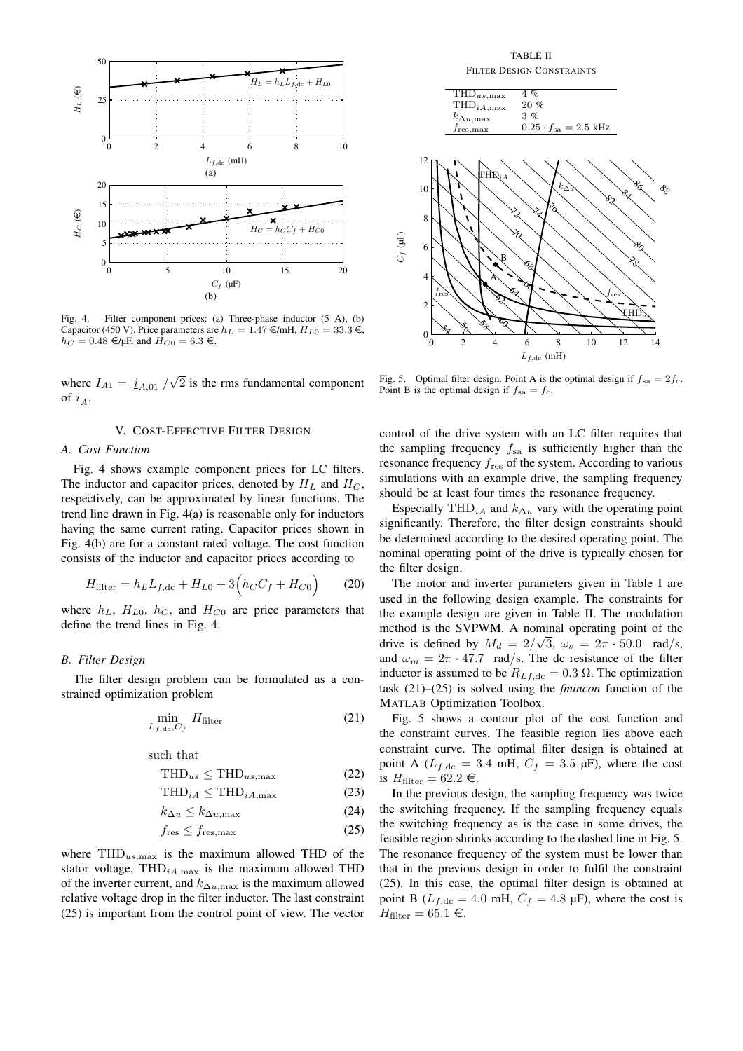

Fig. 4. Filter component prices: (a) Three-phase inductor (5 A), (b) Capacitor (450 V). Price parameters are  $h_L = 1.47 \, \text{mH}$ ,  $H_{L0} = 33.3 \, \text{m}$ ,  $h_C = 0.48 \in \text{/µF}$ , and  $H_{C0} = 6.3 \in$ .

where  $I_{A1} = |\underline{i}_{A,01}| / \sqrt{2}$  is the rms fundamental component of  $i_A$ .

### V. COST-EFFECTIVE FILTER DESIGN

#### *A. Cost Function*

Fig. 4 shows example component prices for LC filters. The inductor and capacitor prices, denoted by  $H_L$  and  $H_C$ , respectively, can be approximated by linear functions. The trend line drawn in Fig. 4(a) is reasonable only for inductors having the same current rating. Capacitor prices shown in Fig. 4(b) are for a constant rated voltage. The cost function consists of the inductor and capacitor prices according to

$$
H_{\text{filter}} = h_L L_{f, \text{dc}} + H_{L0} + 3(h_C C_f + H_{C0})
$$
 (20)

where  $h_L$ ,  $H_{L0}$ ,  $h_C$ , and  $H_{C0}$  are price parameters that define the trend lines in Fig. 4.

# *B. Filter Design*

The filter design problem can be formulated as a constrained optimization problem

$$
\min_{L_{f,\text{dc}},C_f} H_{\text{filter}} \tag{21}
$$

such that

$$
THD_{us} \leq THD_{us, \text{max}} \tag{22}
$$

$$
\text{THD}_{iA} \le \text{THD}_{iA,\text{max}} \tag{23}
$$

$$
k_{\Delta u} \le k_{\Delta u, \text{max}} \tag{24}
$$

$$
f_{\rm res} \le f_{\rm res,max} \tag{25}
$$

where  $THD_{us, max}$  is the maximum allowed THD of the stator voltage,  $THD<sub>iA,max</sub>$  is the maximum allowed THD of the inverter current, and  $k_{\Delta u, \text{max}}$  is the maximum allowed relative voltage drop in the filter inductor. The last constraint (25) is important from the control point of view. The vector



 $\theta$ 

Fig. 5. Optimal filter design. Point A is the optimal design if  $f_{sa} = 2f_c$ . Point B is the optimal design if  $f_{sa} = f_c$ .

control of the drive system with an LC filter requires that the sampling frequency  $f_{sa}$  is sufficiently higher than the resonance frequency  $f_{\text{res}}$  of the system. According to various simulations with an example drive, the sampling frequency should be at least four times the resonance frequency.

Especially THD<sub>iA</sub> and  $k_{\Delta u}$  vary with the operating point significantly. Therefore, the filter design constraints should be determined according to the desired operating point. The nominal operating point of the drive is typically chosen for the filter design.

The motor and inverter parameters given in Table I are used in the following design example. The constraints for the example design are given in Table II. The modulation method is the SVPWM. A nominal operating point of the drive is defined by  $M_d = 2/\sqrt{3}$ ,  $\omega_s = 2\pi \cdot 50.0$  rad/s, and  $\omega_m = 2\pi \cdot 47.7$  rad/s. The dc resistance of the filter inductor is assumed to be  $R_{Lf,dc} = 0.3 \Omega$ . The optimization task (21)–(25) is solved using the *fmincon* function of the MATLAB Optimization Toolbox.

Fig. 5 shows a contour plot of the cost function and the constraint curves. The feasible region lies above each constraint curve. The optimal filter design is obtained at point A ( $L_{f,dc}$  = 3.4 mH,  $C_f$  = 3.5  $\mu$ F), where the cost is  $H_{\text{filter}} = 62.2 \in$ .

In the previous design, the sampling frequency was twice the switching frequency. If the sampling frequency equals the switching frequency as is the case in some drives, the feasible region shrinks according to the dashed line in Fig. 5. The resonance frequency of the system must be lower than that in the previous design in order to fulfil the constraint (25). In this case, the optimal filter design is obtained at point B ( $L_{f,dc} = 4.0$  mH,  $C_f = 4.8$  µF), where the cost is  $H_{\text{filter}} = 65.1 \in.$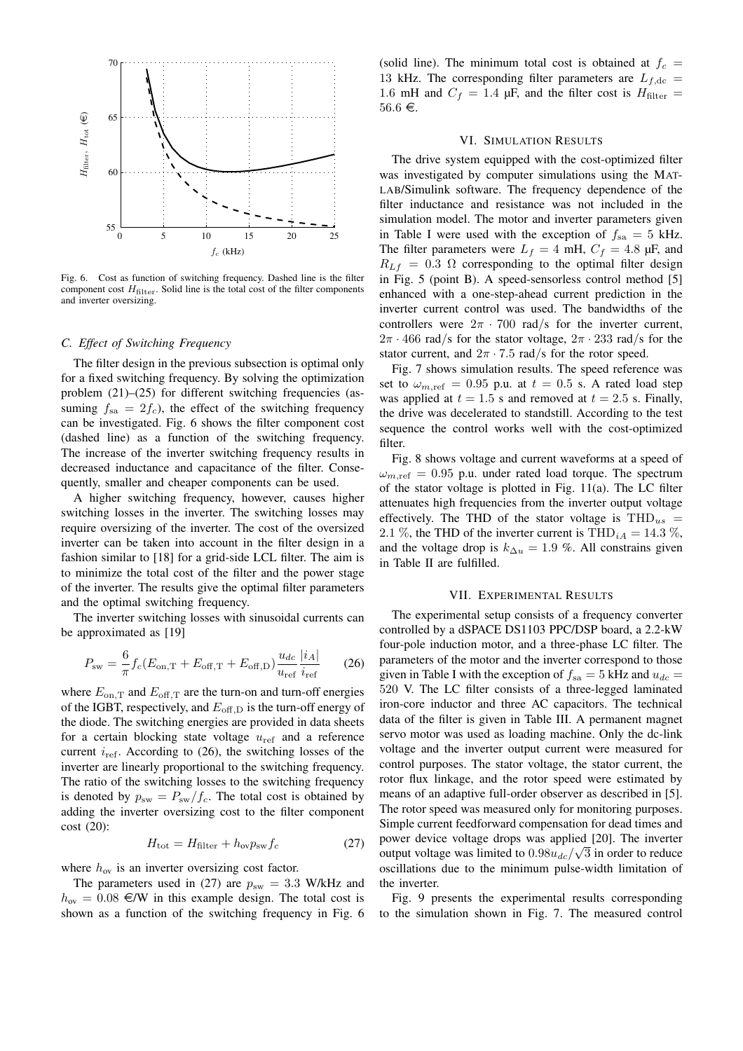

Fig. 6. Cost as function of switching frequency. Dashed line is the filter component cost  $H_{\text{filter}}$ . Solid line is the total cost of the filter components and inverter oversizing.

#### *C. Effect of Switching Frequency*

The filter design in the previous subsection is optimal only for a fixed switching frequency. By solving the optimization problem  $(21)$ – $(25)$  for different switching frequencies (assuming  $f_{\rm{sa}} = 2f_c$ , the effect of the switching frequency can be investigated. Fig. 6 shows the filter component cost (dashed line) as a function of the switching frequency. The increase of the inverter switching frequency results in decreased inductance and capacitance of the filter. Consequently, smaller and cheaper components can be used.

A higher switching frequency, however, causes higher switching losses in the inverter. The switching losses may require oversizing of the inverter. The cost of the oversized inverter can be taken into account in the filter design in a fashion similar to [18] for a grid-side LCL filter. The aim is to minimize the total cost of the filter and the power stage of the inverter. The results give the optimal filter parameters and the optimal switching frequency.

The inverter switching losses with sinusoidal currents can be approximated as [19]

$$
P_{\rm sw} = \frac{6}{\pi} f_c (E_{\rm on, T} + E_{\rm off, T} + E_{\rm off, D}) \frac{u_{dc}}{u_{\rm ref}} \frac{|i_A|}{i_{\rm ref}} \qquad (26)
$$

where  $E_{\text{on,T}}$  and  $E_{\text{off,T}}$  are the turn-on and turn-off energies of the IGBT, respectively, and  $E_{\text{off},D}$  is the turn-off energy of the diode. The switching energies are provided in data sheets for a certain blocking state voltage  $u_{ref}$  and a reference current  $i_{\text{ref}}$ . According to (26), the switching losses of the inverter are linearly proportional to the switching frequency. The ratio of the switching losses to the switching frequency is denoted by  $p_{sw} = P_{sw}/f_c$ . The total cost is obtained by adding the inverter oversizing cost to the filter component cost (20):

$$
H_{\text{tot}} = H_{\text{filter}} + h_{\text{ov}} p_{\text{sw}} f_c \tag{27}
$$

where  $h_{\text{ov}}$  is an inverter oversizing cost factor.

The parameters used in (27) are  $p_{sw} = 3.3$  W/kHz and  $h_{\text{ov}} = 0.08 \in$ /W in this example design. The total cost is shown as a function of the switching frequency in Fig. 6 (solid line). The minimum total cost is obtained at  $f_c =$ 13 kHz. The corresponding filter parameters are  $L_{f,dc}$  = 1.6 mH and  $C_f = 1.4 \mu$ F, and the filter cost is  $H_{\text{filter}} =$  $56.6 \in .$ 

#### VI. SIMULATION RESULTS

The drive system equipped with the cost-optimized filter was investigated by computer simulations using the MAT-LAB/Simulink software. The frequency dependence of the filter inductance and resistance was not included in the simulation model. The motor and inverter parameters given in Table I were used with the exception of  $f_{\rm sa} = 5$  kHz. The filter parameters were  $L_f = 4$  mH,  $C_f = 4.8$  µF, and  $R_{Lf} = 0.3 \Omega$  corresponding to the optimal filter design in Fig. 5 (point B). A speed-sensorless control method [5] enhanced with a one-step-ahead current prediction in the inverter current control was used. The bandwidths of the controllers were  $2\pi \cdot 700$  rad/s for the inverter current,  $2\pi \cdot 466$  rad/s for the stator voltage,  $2\pi \cdot 233$  rad/s for the stator current, and  $2\pi \cdot 7.5$  rad/s for the rotor speed.

Fig. 7 shows simulation results. The speed reference was set to  $\omega_{m,ref} = 0.95$  p.u. at  $t = 0.5$  s. A rated load step was applied at  $t = 1.5$  s and removed at  $t = 2.5$  s. Finally, the drive was decelerated to standstill. According to the test sequence the control works well with the cost-optimized filter.

Fig. 8 shows voltage and current waveforms at a speed of  $\omega_{m,ref} = 0.95$  p.u. under rated load torque. The spectrum of the stator voltage is plotted in Fig. 11(a). The LC filter attenuates high frequencies from the inverter output voltage effectively. The THD of the stator voltage is  $THD_{us}$  = 2.1 %, the THD of the inverter current is THD<sub>iA</sub> = 14.3 %, and the voltage drop is  $k_{\Delta u} = 1.9$  %. All constrains given in Table II are fulfilled.

#### VII. EXPERIMENTAL RESULTS

The experimental setup consists of a frequency converter controlled by a dSPACE DS1103 PPC/DSP board, a 2.2-kW four-pole induction motor, and a three-phase LC filter. The parameters of the motor and the inverter correspond to those given in Table I with the exception of  $f_{sa} = 5$  kHz and  $u_{dc} =$ 520 V. The LC filter consists of a three-legged laminated iron-core inductor and three AC capacitors. The technical data of the filter is given in Table III. A permanent magnet servo motor was used as loading machine. Only the dc-link voltage and the inverter output current were measured for control purposes. The stator voltage, the stator current, the rotor flux linkage, and the rotor speed were estimated by means of an adaptive full-order observer as described in [5]. The rotor speed was measured only for monitoring purposes. Simple current feedforward compensation for dead times and power device voltage drops was applied [20]. The inverter output voltage was limited to  $0.98u_{dc}/\sqrt{3}$  in order to reduce oscillations due to the minimum pulse-width limitation of the inverter.

Fig. 9 presents the experimental results corresponding to the simulation shown in Fig. 7. The measured control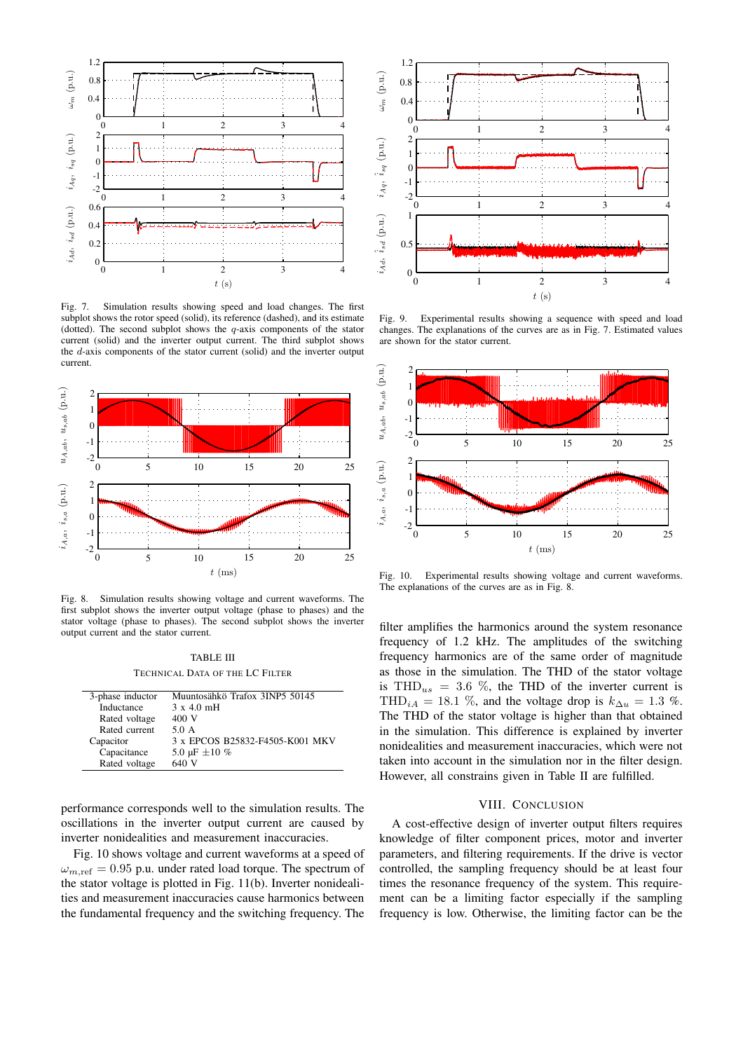

Fig. 7. Simulation results showing speed and load changes. The first subplot shows the rotor speed (solid), its reference (dashed), and its estimate (dotted). The second subplot shows the  $q$ -axis components of the stator current (solid) and the inverter output current. The third subplot shows the d-axis components of the stator current (solid) and the inverter output current.



Fig. 8. Simulation results showing voltage and current waveforms. The first subplot shows the inverter output voltage (phase to phases) and the stator voltage (phase to phases). The second subplot shows the inverter output current and the stator current.

TABLE III TECHNICAL DATA OF THE LC FILTER

| 3-phase inductor | Muuntosähkö Trafox 3INP5 50145  |
|------------------|---------------------------------|
| Inductance       | $3 \times 4.0$ mH               |
| Rated voltage    | 400 V                           |
| Rated current    | 5.0 A                           |
| Capacitor        | 3 x EPCOS B25832-F4505-K001 MKV |
| Capacitance      | 5.0 $\mu$ F ±10 %               |
| Rated voltage    | 640 V                           |

performance corresponds well to the simulation results. The oscillations in the inverter output current are caused by inverter nonidealities and measurement inaccuracies.

Fig. 10 shows voltage and current waveforms at a speed of  $\omega_{m,\text{ref}} = 0.95$  p.u. under rated load torque. The spectrum of the stator voltage is plotted in Fig. 11(b). Inverter nonidealities and measurement inaccuracies cause harmonics between the fundamental frequency and the switching frequency. The



Fig. 9. Experimental results showing a sequence with speed and load changes. The explanations of the curves are as in Fig. 7. Estimated values are shown for the stator current.



Fig. 10. Experimental results showing voltage and current waveforms. The explanations of the curves are as in Fig. 8.

filter amplifies the harmonics around the system resonance frequency of 1.2 kHz. The amplitudes of the switching frequency harmonics are of the same order of magnitude as those in the simulation. The THD of the stator voltage is THD<sub>us</sub> = 3.6 %, the THD of the inverter current is THD<sub>iA</sub> = 18.1 %, and the voltage drop is  $k_{\Delta u} = 1.3$  %. The THD of the stator voltage is higher than that obtained in the simulation. This difference is explained by inverter nonidealities and measurement inaccuracies, which were not taken into account in the simulation nor in the filter design. However, all constrains given in Table II are fulfilled.

#### VIII. CONCLUSION

A cost-effective design of inverter output filters requires knowledge of filter component prices, motor and inverter parameters, and filtering requirements. If the drive is vector controlled, the sampling frequency should be at least four times the resonance frequency of the system. This requirement can be a limiting factor especially if the sampling frequency is low. Otherwise, the limiting factor can be the